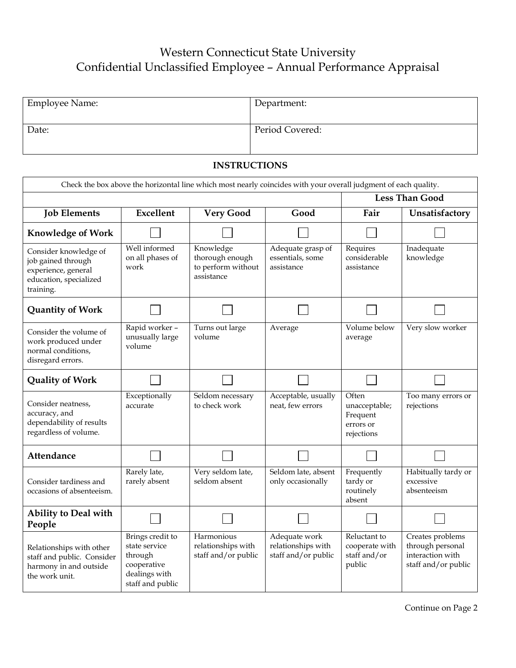## Western Connecticut State University Confidential Unclassified Employee – Annual Performance Appraisal

| <b>Employee Name:</b> | Department:     |
|-----------------------|-----------------|
| Date:                 | Period Covered: |

## **INSTRUCTIONS**

| Check the box above the horizontal line which most nearly coincides with your overall judgment of each quality. |                                                                                                  |                                                                  |                                                            |                                                               |                                                                                 |
|-----------------------------------------------------------------------------------------------------------------|--------------------------------------------------------------------------------------------------|------------------------------------------------------------------|------------------------------------------------------------|---------------------------------------------------------------|---------------------------------------------------------------------------------|
|                                                                                                                 | <b>Less Than Good</b>                                                                            |                                                                  |                                                            |                                                               |                                                                                 |
| <b>Job Elements</b>                                                                                             | Excellent                                                                                        | <b>Very Good</b>                                                 | Good                                                       | Fair                                                          | Unsatisfactory                                                                  |
| <b>Knowledge of Work</b>                                                                                        |                                                                                                  |                                                                  |                                                            |                                                               |                                                                                 |
| Consider knowledge of<br>job gained through<br>experience, general<br>education, specialized<br>training.       | Well informed<br>on all phases of<br>work                                                        | Knowledge<br>thorough enough<br>to perform without<br>assistance | Adequate grasp of<br>essentials, some<br>assistance        | Requires<br>considerable<br>assistance                        | Inadequate<br>knowledge                                                         |
| <b>Quantity of Work</b>                                                                                         |                                                                                                  |                                                                  |                                                            |                                                               |                                                                                 |
| Consider the volume of<br>work produced under<br>normal conditions,<br>disregard errors.                        | Rapid worker -<br>unusually large<br>volume                                                      | Turns out large<br>volume                                        | Average                                                    | Volume below<br>average                                       | Very slow worker                                                                |
| <b>Quality of Work</b>                                                                                          |                                                                                                  |                                                                  |                                                            |                                                               |                                                                                 |
| Consider neatness,<br>accuracy, and<br>dependability of results<br>regardless of volume.                        | Exceptionally<br>accurate                                                                        | Seldom necessary<br>to check work                                | Acceptable, usually<br>neat, few errors                    | Often<br>unacceptable;<br>Frequent<br>errors or<br>rejections | Too many errors or<br>rejections                                                |
| Attendance                                                                                                      |                                                                                                  |                                                                  |                                                            |                                                               |                                                                                 |
| Consider tardiness and<br>occasions of absenteeism.                                                             | Rarely late,<br>rarely absent                                                                    | Very seldom late,<br>seldom absent                               | Seldom late, absent<br>only occasionally                   | Frequently<br>tardy or<br>routinely<br>absent                 | Habitually tardy or<br>excessive<br>absenteeism                                 |
| Ability to Deal with<br>People                                                                                  |                                                                                                  |                                                                  |                                                            |                                                               |                                                                                 |
| Relationships with other<br>staff and public. Consider<br>harmony in and outside<br>the work unit.              | Brings credit to<br>state service<br>through<br>cooperative<br>dealings with<br>staff and public | Harmonious<br>relationships with<br>staff and/or public          | Adequate work<br>relationships with<br>staff and/or public | Reluctant to<br>cooperate with<br>staff and/or<br>public      | Creates problems<br>through personal<br>interaction with<br>staff and/or public |

Continue on Page 2